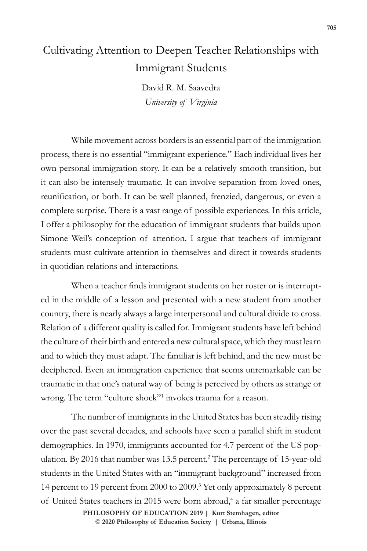# Cultivating Attention to Deepen Teacher Relationships with Immigrant Students

David R. M. Saavedra *University of Virginia*

While movement across borders is an essential part of the immigration process, there is no essential "immigrant experience." Each individual lives her own personal immigration story. It can be a relatively smooth transition, but it can also be intensely traumatic. It can involve separation from loved ones, reunification, or both. It can be well planned, frenzied, dangerous, or even a complete surprise. There is a vast range of possible experiences. In this article, I offer a philosophy for the education of immigrant students that builds upon Simone Weil's conception of attention. I argue that teachers of immigrant students must cultivate attention in themselves and direct it towards students in quotidian relations and interactions.

When a teacher finds immigrant students on her roster or is interrupted in the middle of a lesson and presented with a new student from another country, there is nearly always a large interpersonal and cultural divide to cross. Relation of a different quality is called for. Immigrant students have left behind the culture of their birth and entered a new cultural space, which they must learn and to which they must adapt. The familiar is left behind, and the new must be deciphered. Even an immigration experience that seems unremarkable can be traumatic in that one's natural way of being is perceived by others as strange or wrong. The term "culture shock"<sup>1</sup> invokes trauma for a reason.

The number of immigrants in the United States has been steadily rising over the past several decades, and schools have seen a parallel shift in student demographics. In 1970, immigrants accounted for 4.7 percent of the US population. By 2016 that number was 13.5 percent.2 The percentage of 15-year-old students in the United States with an "immigrant background" increased from 14 percent to 19 percent from 2000 to 2009.3 Yet only approximately 8 percent of United States teachers in 2015 were born abroad,<sup>4</sup> a far smaller percentage **PHILOSOPHY OF EDUCATION 2019 | Kurt Stemhagen, editor** 

**doi 10.47925/75.2019.705 © 2020 Philosophy of Education Society | Urbana, Illinois**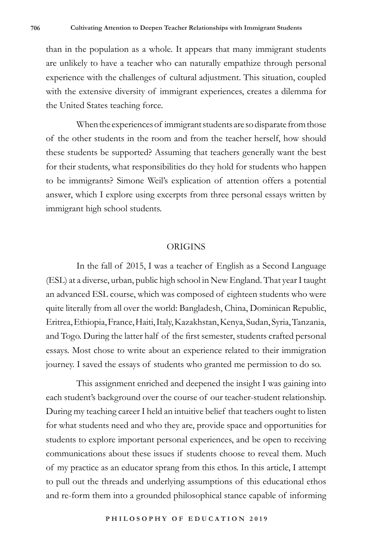than in the population as a whole. It appears that many immigrant students are unlikely to have a teacher who can naturally empathize through personal experience with the challenges of cultural adjustment. This situation, coupled with the extensive diversity of immigrant experiences, creates a dilemma for the United States teaching force.

When the experiences of immigrant students are so disparate from those of the other students in the room and from the teacher herself, how should these students be supported? Assuming that teachers generally want the best for their students, what responsibilities do they hold for students who happen to be immigrants? Simone Weil's explication of attention offers a potential answer, which I explore using excerpts from three personal essays written by immigrant high school students.

#### ORIGINS

In the fall of 2015, I was a teacher of English as a Second Language (ESL) at a diverse, urban, public high school in New England. That year I taught an advanced ESL course, which was composed of eighteen students who were quite literally from all over the world: Bangladesh, China, Dominican Republic, Eritrea, Ethiopia, France, Haiti, Italy, Kazakhstan, Kenya, Sudan, Syria, Tanzania, and Togo. During the latter half of the first semester, students crafted personal essays. Most chose to write about an experience related to their immigration journey. I saved the essays of students who granted me permission to do so.

This assignment enriched and deepened the insight I was gaining into each student's background over the course of our teacher-student relationship. During my teaching career I held an intuitive belief that teachers ought to listen for what students need and who they are, provide space and opportunities for students to explore important personal experiences, and be open to receiving communications about these issues if students choose to reveal them. Much of my practice as an educator sprang from this ethos. In this article, I attempt to pull out the threads and underlying assumptions of this educational ethos and re-form them into a grounded philosophical stance capable of informing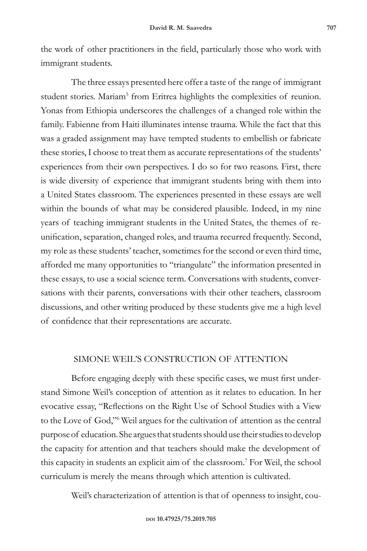the work of other practitioners in the field, particularly those who work with immigrant students.

The three essays presented here offer a taste of the range of immigrant student stories. Mariam<sup>5</sup> from Eritrea highlights the complexities of reunion. Yonas from Ethiopia underscores the challenges of a changed role within the family. Fabienne from Haiti illuminates intense trauma. While the fact that this was a graded assignment may have tempted students to embellish or fabricate these stories, I choose to treat them as accurate representations of the students' experiences from their own perspectives. I do so for two reasons. First, there is wide diversity of experience that immigrant students bring with them into a United States classroom. The experiences presented in these essays are well within the bounds of what may be considered plausible. Indeed, in my nine years of teaching immigrant students in the United States, the themes of reunification, separation, changed roles, and trauma recurred frequently. Second, my role as these students' teacher, sometimes for the second or even third time, afforded me many opportunities to "triangulate" the information presented in these essays, to use a social science term. Conversations with students, conversations with their parents, conversations with their other teachers, classroom discussions, and other writing produced by these students give me a high level of confidence that their representations are accurate.

## SIMONE WEIL'S CONSTRUCTION OF ATTENTION

Before engaging deeply with these specific cases, we must first understand Simone Weil's conception of attention as it relates to education. In her evocative essay, "Reflections on the Right Use of School Studies with a View to the Love of God,"6 Weil argues for the cultivation of attention as the central purpose of education. She argues that students should use their studies to develop the capacity for attention and that teachers should make the development of this capacity in students an explicit aim of the classroom.7 For Weil, the school curriculum is merely the means through which attention is cultivated.

Weil's characterization of attention is that of openness to insight, cou-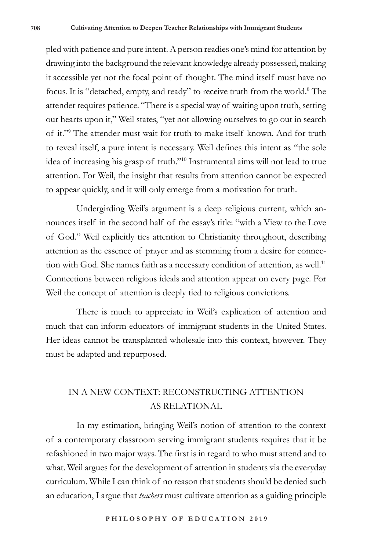pled with patience and pure intent. A person readies one's mind for attention by drawing into the background the relevant knowledge already possessed, making it accessible yet not the focal point of thought. The mind itself must have no focus. It is "detached, empty, and ready" to receive truth from the world.<sup>8</sup> The attender requires patience. "There is a special way of waiting upon truth, setting our hearts upon it," Weil states, "yet not allowing ourselves to go out in search of it."9 The attender must wait for truth to make itself known. And for truth to reveal itself, a pure intent is necessary. Weil defines this intent as "the sole idea of increasing his grasp of truth."10 Instrumental aims will not lead to true attention. For Weil, the insight that results from attention cannot be expected to appear quickly, and it will only emerge from a motivation for truth.

Undergirding Weil's argument is a deep religious current, which announces itself in the second half of the essay's title: "with a View to the Love of God." Weil explicitly ties attention to Christianity throughout, describing attention as the essence of prayer and as stemming from a desire for connection with God. She names faith as a necessary condition of attention, as well.<sup>11</sup> Connections between religious ideals and attention appear on every page. For Weil the concept of attention is deeply tied to religious convictions.

There is much to appreciate in Weil's explication of attention and much that can inform educators of immigrant students in the United States. Her ideas cannot be transplanted wholesale into this context, however. They must be adapted and repurposed.

# IN A NEW CONTEXT: RECONSTRUCTING ATTENTION AS RELATIONAL

In my estimation, bringing Weil's notion of attention to the context of a contemporary classroom serving immigrant students requires that it be refashioned in two major ways. The first is in regard to who must attend and to what. Weil argues for the development of attention in students via the everyday curriculum. While I can think of no reason that students should be denied such an education, I argue that *teachers* must cultivate attention as a guiding principle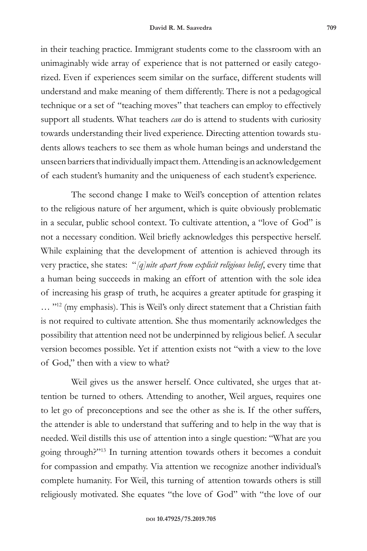in their teaching practice. Immigrant students come to the classroom with an unimaginably wide array of experience that is not patterned or easily categorized. Even if experiences seem similar on the surface, different students will understand and make meaning of them differently. There is not a pedagogical technique or a set of "teaching moves" that teachers can employ to effectively support all students. What teachers *can* do is attend to students with curiosity towards understanding their lived experience. Directing attention towards students allows teachers to see them as whole human beings and understand the unseen barriers that individually impact them. Attending is an acknowledgement of each student's humanity and the uniqueness of each student's experience.

The second change I make to Weil's conception of attention relates to the religious nature of her argument, which is quite obviously problematic in a secular, public school context. To cultivate attention, a "love of God" is not a necessary condition. Weil briefly acknowledges this perspective herself. While explaining that the development of attention is achieved through its very practice, she states: "*[q]uite apart from explicit religious belief*, every time that a human being succeeds in making an effort of attention with the sole idea of increasing his grasp of truth, he acquires a greater aptitude for grasping it ... "<sup>12</sup> (my emphasis). This is Weil's only direct statement that a Christian faith is not required to cultivate attention. She thus momentarily acknowledges the possibility that attention need not be underpinned by religious belief. A secular version becomes possible. Yet if attention exists not "with a view to the love of God," then with a view to what?

Weil gives us the answer herself. Once cultivated, she urges that attention be turned to others. Attending to another, Weil argues, requires one to let go of preconceptions and see the other as she is. If the other suffers, the attender is able to understand that suffering and to help in the way that is needed. Weil distills this use of attention into a single question: "What are you going through?"13 In turning attention towards others it becomes a conduit for compassion and empathy. Via attention we recognize another individual's complete humanity. For Weil, this turning of attention towards others is still religiously motivated. She equates "the love of God" with "the love of our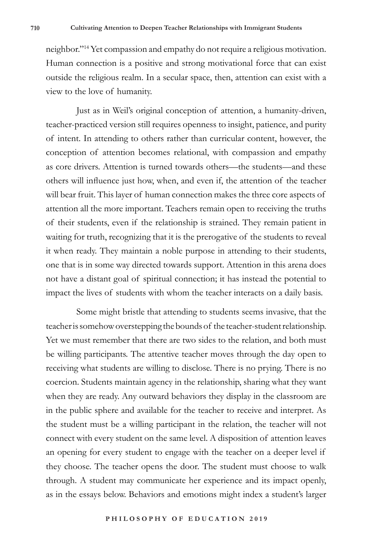neighbor."14 Yet compassion and empathy do not require a religious motivation. Human connection is a positive and strong motivational force that can exist outside the religious realm. In a secular space, then, attention can exist with a view to the love of humanity.

Just as in Weil's original conception of attention, a humanity-driven, teacher-practiced version still requires openness to insight, patience, and purity of intent. In attending to others rather than curricular content, however, the conception of attention becomes relational, with compassion and empathy as core drivers. Attention is turned towards others—the students—and these others will influence just how, when, and even if, the attention of the teacher will bear fruit. This layer of human connection makes the three core aspects of attention all the more important. Teachers remain open to receiving the truths of their students, even if the relationship is strained. They remain patient in waiting for truth, recognizing that it is the prerogative of the students to reveal it when ready. They maintain a noble purpose in attending to their students, one that is in some way directed towards support. Attention in this arena does not have a distant goal of spiritual connection; it has instead the potential to impact the lives of students with whom the teacher interacts on a daily basis.

Some might bristle that attending to students seems invasive, that the teacher is somehow overstepping the bounds of the teacher-student relationship. Yet we must remember that there are two sides to the relation, and both must be willing participants. The attentive teacher moves through the day open to receiving what students are willing to disclose. There is no prying. There is no coercion. Students maintain agency in the relationship, sharing what they want when they are ready. Any outward behaviors they display in the classroom are in the public sphere and available for the teacher to receive and interpret. As the student must be a willing participant in the relation, the teacher will not connect with every student on the same level. A disposition of attention leaves an opening for every student to engage with the teacher on a deeper level if they choose. The teacher opens the door. The student must choose to walk through. A student may communicate her experience and its impact openly, as in the essays below. Behaviors and emotions might index a student's larger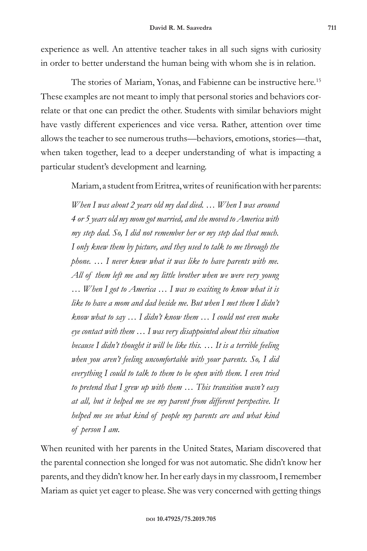experience as well. An attentive teacher takes in all such signs with curiosity in order to better understand the human being with whom she is in relation.

The stories of Mariam, Yonas, and Fabienne can be instructive here.<sup>15</sup> These examples are not meant to imply that personal stories and behaviors correlate or that one can predict the other. Students with similar behaviors might have vastly different experiences and vice versa. Rather, attention over time allows the teacher to see numerous truths—behaviors, emotions, stories—that, when taken together, lead to a deeper understanding of what is impacting a particular student's development and learning.

Mariam, a student from Eritrea, writes of reunification with her parents:

*When I was about 2 years old my dad died. … When I was around 4 or 5 years old my mom got married, and she moved to America with my step dad. So, I did not remember her or my step dad that much. I only knew them by picture, and they used to talk to me through the phone. … I never knew what it was like to have parents with me. All of them left me and my little brother when we were very young … When I got to America … I was so exciting to know what it is like to have a mom and dad beside me. But when I met them I didn't know what to say … I didn't know them … I could not even make eye contact with them … I was very disappointed about this situation because I didn't thought it will be like this. … It is a terrible feeling when you aren't feeling uncomfortable with your parents. So, I did everything I could to talk to them to be open with them. I even tried to pretend that I grew up with them … This transition wasn't easy at all, but it helped me see my parent from different perspective. It helped me see what kind of people my parents are and what kind of person I am.*

When reunited with her parents in the United States, Mariam discovered that the parental connection she longed for was not automatic. She didn't know her parents, and they didn't know her. In her early days in my classroom, I remember Mariam as quiet yet eager to please. She was very concerned with getting things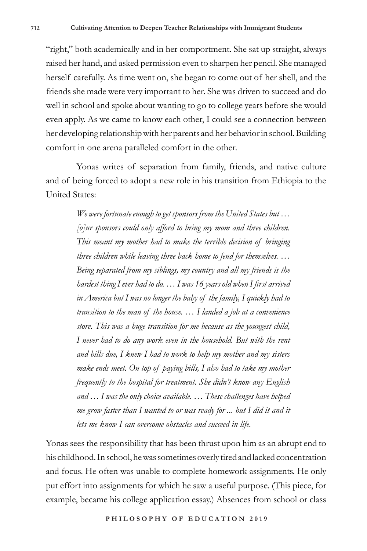"right," both academically and in her comportment. She sat up straight, always raised her hand, and asked permission even to sharpen her pencil. She managed herself carefully. As time went on, she began to come out of her shell, and the friends she made were very important to her. She was driven to succeed and do well in school and spoke about wanting to go to college years before she would even apply. As we came to know each other, I could see a connection between her developing relationship with her parents and her behavior in school. Building comfort in one arena paralleled comfort in the other.

Yonas writes of separation from family, friends, and native culture and of being forced to adopt a new role in his transition from Ethiopia to the United States:

> *We were fortunate enough to get sponsors from the United States but … [o]ur sponsors could only afford to bring my mom and three children. This meant my mother had to make the terrible decision of bringing three children while leaving three back home to fend for themselves. … Being separated from my siblings, my country and all my friends is the hardest thing I ever had to do. … I was 16 years old when I first arrived in America but I was no longer the baby of the family, I quickly had to transition to the man of the house. … I landed a job at a convenience store. This was a huge transition for me because as the youngest child, I never had to do any work even in the household. But with the rent and bills due, I knew I had to work to help my mother and my sisters make ends meet. On top of paying bills, I also had to take my mother frequently to the hospital for treatment. She didn't know any English and … I was the only choice available. … These challenges have helped me grow faster than I wanted to or was ready for ... but I did it and it lets me know I can overcome obstacles and succeed in life.*

Yonas sees the responsibility that has been thrust upon him as an abrupt end to his childhood. In school, he was sometimes overly tired and lacked concentration and focus. He often was unable to complete homework assignments. He only put effort into assignments for which he saw a useful purpose. (This piece, for example, became his college application essay.) Absences from school or class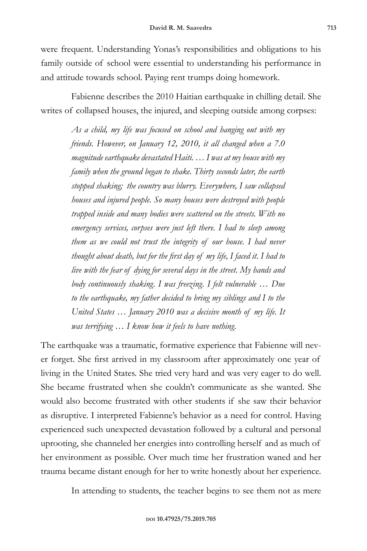were frequent. Understanding Yonas's responsibilities and obligations to his family outside of school were essential to understanding his performance in and attitude towards school. Paying rent trumps doing homework.

Fabienne describes the 2010 Haitian earthquake in chilling detail. She writes of collapsed houses, the injured, and sleeping outside among corpses:

> *As a child, my life was focused on school and hanging out with my friends. However, on January 12, 2010, it all changed when a 7.0 magnitude earthquake devastated Haiti. … I was at my house with my family when the ground began to shake. Thirty seconds later, the earth stopped shaking; the country was blurry. Everywhere, I saw collapsed houses and injured people. So many houses were destroyed with people trapped inside and many bodies were scattered on the streets. With no emergency services, corpses were just left there. I had to sleep among them as we could not trust the integrity of our house. I had never thought about death, but for the first day of my life, I faced it. I had to live with the fear of dying for several days in the street. My hands and body continuously shaking. I was freezing. I felt vulnerable … Due to the earthquake, my father decided to bring my siblings and I to the United States … January 2010 was a decisive month of my life. It was terrifying … I know how it feels to have nothing.*

The earthquake was a traumatic, formative experience that Fabienne will never forget. She first arrived in my classroom after approximately one year of living in the United States. She tried very hard and was very eager to do well. She became frustrated when she couldn't communicate as she wanted. She would also become frustrated with other students if she saw their behavior as disruptive. I interpreted Fabienne's behavior as a need for control. Having experienced such unexpected devastation followed by a cultural and personal uprooting, she channeled her energies into controlling herself and as much of her environment as possible. Over much time her frustration waned and her trauma became distant enough for her to write honestly about her experience.

In attending to students, the teacher begins to see them not as mere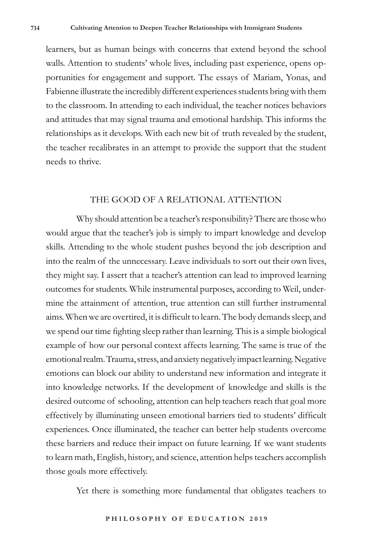learners, but as human beings with concerns that extend beyond the school walls. Attention to students' whole lives, including past experience, opens opportunities for engagement and support. The essays of Mariam, Yonas, and Fabienne illustrate the incredibly different experiences students bring with them to the classroom. In attending to each individual, the teacher notices behaviors and attitudes that may signal trauma and emotional hardship. This informs the relationships as it develops. With each new bit of truth revealed by the student, the teacher recalibrates in an attempt to provide the support that the student needs to thrive.

### THE GOOD OF A RELATIONAL ATTENTION

Why should attention be a teacher's responsibility? There are those who would argue that the teacher's job is simply to impart knowledge and develop skills. Attending to the whole student pushes beyond the job description and into the realm of the unnecessary. Leave individuals to sort out their own lives, they might say. I assert that a teacher's attention can lead to improved learning outcomes for students. While instrumental purposes, according to Weil, undermine the attainment of attention, true attention can still further instrumental aims. When we are overtired, it is difficult to learn. The body demands sleep, and we spend our time fighting sleep rather than learning. This is a simple biological example of how our personal context affects learning. The same is true of the emotional realm. Trauma, stress, and anxiety negatively impact learning. Negative emotions can block our ability to understand new information and integrate it into knowledge networks. If the development of knowledge and skills is the desired outcome of schooling, attention can help teachers reach that goal more effectively by illuminating unseen emotional barriers tied to students' difficult experiences. Once illuminated, the teacher can better help students overcome these barriers and reduce their impact on future learning. If we want students to learn math, English, history, and science, attention helps teachers accomplish those goals more effectively.

Yet there is something more fundamental that obligates teachers to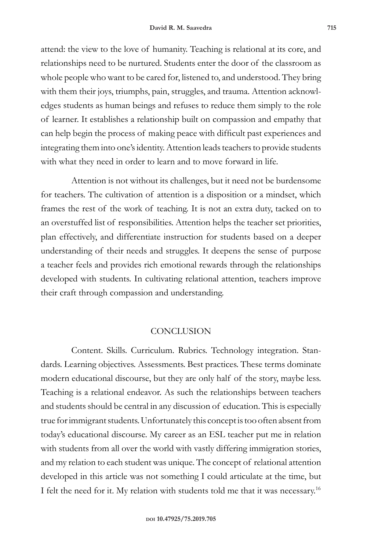attend: the view to the love of humanity. Teaching is relational at its core, and relationships need to be nurtured. Students enter the door of the classroom as whole people who want to be cared for, listened to, and understood. They bring with them their joys, triumphs, pain, struggles, and trauma. Attention acknowledges students as human beings and refuses to reduce them simply to the role of learner. It establishes a relationship built on compassion and empathy that can help begin the process of making peace with difficult past experiences and integrating them into one's identity. Attention leads teachers to provide students with what they need in order to learn and to move forward in life.

Attention is not without its challenges, but it need not be burdensome for teachers. The cultivation of attention is a disposition or a mindset, which frames the rest of the work of teaching. It is not an extra duty, tacked on to an overstuffed list of responsibilities. Attention helps the teacher set priorities, plan effectively, and differentiate instruction for students based on a deeper understanding of their needs and struggles. It deepens the sense of purpose a teacher feels and provides rich emotional rewards through the relationships developed with students. In cultivating relational attention, teachers improve their craft through compassion and understanding.

### **CONCLUSION**

Content. Skills. Curriculum. Rubrics. Technology integration. Standards. Learning objectives. Assessments. Best practices. These terms dominate modern educational discourse, but they are only half of the story, maybe less. Teaching is a relational endeavor. As such the relationships between teachers and students should be central in any discussion of education. This is especially true for immigrant students. Unfortunately this concept is too often absent from today's educational discourse. My career as an ESL teacher put me in relation with students from all over the world with vastly differing immigration stories, and my relation to each student was unique. The concept of relational attention developed in this article was not something I could articulate at the time, but I felt the need for it. My relation with students told me that it was necessary.16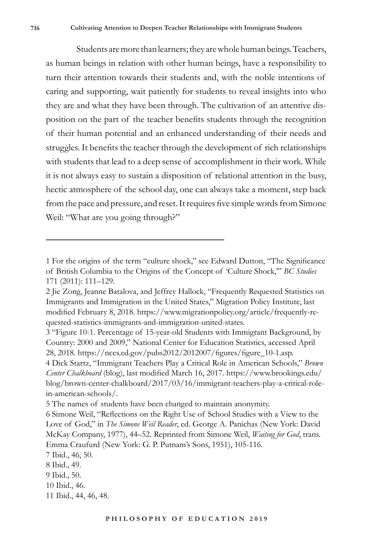Students are more than learners; they are whole human beings. Teachers, as human beings in relation with other human beings, have a responsibility to turn their attention towards their students and, with the noble intentions of caring and supporting, wait patiently for students to reveal insights into who they are and what they have been through. The cultivation of an attentive disposition on the part of the teacher benefits students through the recognition of their human potential and an enhanced understanding of their needs and struggles. It benefits the teacher through the development of rich relationships with students that lead to a deep sense of accomplishment in their work. While it is not always easy to sustain a disposition of relational attention in the busy, hectic atmosphere of the school day, one can always take a moment, step back from the pace and pressure, and reset. It requires five simple words from Simone Weil: "What are you going through?"

<sup>1</sup> For the origins of the term "culture shock," see Edward Dutton, "The Significance of British Columbia to the Origins of the Concept of 'Culture Shock,'" *BC Studies* 171 (2011): 111–129.

<sup>2</sup> Jie Zong, Jeanne Batalova, and Jeffrey Hallock, "Frequently Requested Statistics on Immigrants and Immigration in the United States," Migration Policy Institute, last modified February 8, 2018. https://www.migrationpolicy.org/article/frequently-requested-statistics-immigrants-and-immigration-united-states.

<sup>3 &</sup>quot;Figure 10-1. Percentage of 15-year-old Students with Immigrant Background, by Country: 2000 and 2009," National Center for Education Statistics, accessed April 28, 2018. https://nces.ed.gov/pubs2012/2012007/figures/figure\_10-1.asp.

<sup>4</sup> Dick Startz, "Immigrant Teachers Play a Critical Role in American Schools," *Brown Center Chalkboard* (blog), last modified March 16, 2017. https://www.brookings.edu/ blog/brown-center-chalkboard/2017/03/16/immigrant-teachers-play-a-critical-rolein-american-schools/.

<sup>5</sup> The names of students have been changed to maintain anonymity.

<sup>6</sup> Simone Weil, "Reflections on the Right Use of School Studies with a View to the Love of God," in *The Simone Weil Reader*, ed. George A. Panichas (New York: David McKay Company, 1977), 44–52. Reprinted from Simone Weil, *Waiting for God*, trans. Emma Craufurd (New York: G. P. Putnam's Sons, 1951), 105-116.

<sup>7</sup> Ibid., 46, 50.

<sup>8</sup> Ibid., 49.

<sup>9</sup> Ibid., 50.

<sup>10</sup> Ibid., 46.

<sup>11</sup> Ibid., 44, 46, 48.